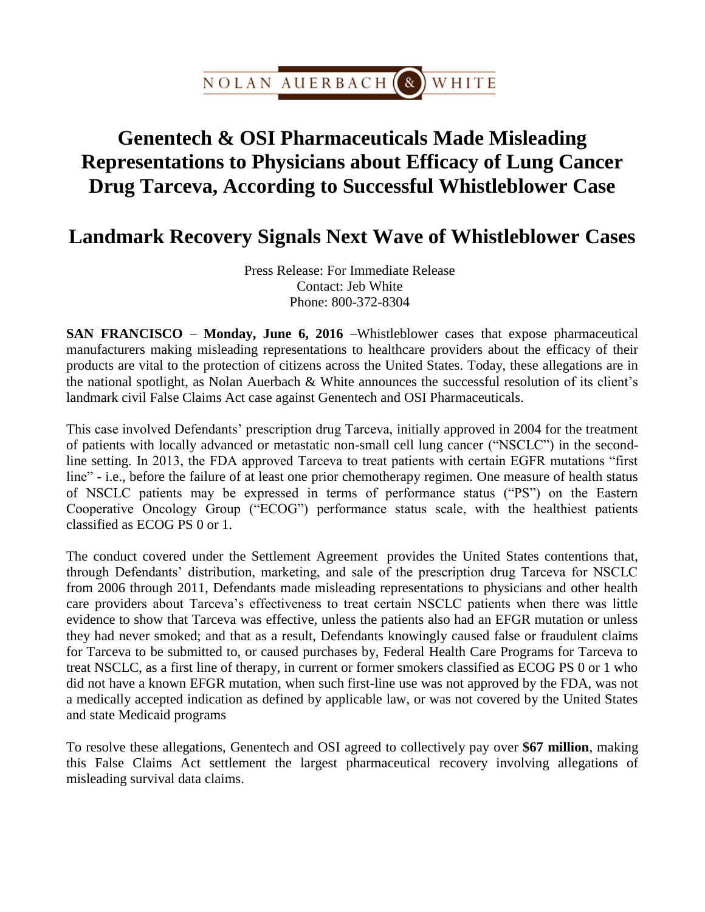

## **Genentech & OSI Pharmaceuticals Made Misleading Representations to Physicians about Efficacy of Lung Cancer Drug Tarceva, According to Successful Whistleblower Case**

## **Landmark Recovery Signals Next Wave of Whistleblower Cases**

Press Release: For Immediate Release Contact: Jeb White Phone: 800-372-8304

**SAN FRANCISCO** – **Monday, June 6, 2016** –Whistleblower cases that expose pharmaceutical manufacturers making misleading representations to healthcare providers about the efficacy of their products are vital to the protection of citizens across the United States. Today, these allegations are in the national spotlight, as Nolan Auerbach & White announces the successful resolution of its client's landmark civil False Claims Act case against Genentech and OSI Pharmaceuticals.

This case involved Defendants' prescription drug Tarceva, initially approved in 2004 for the treatment of patients with locally advanced or metastatic non-small cell lung cancer ("NSCLC") in the secondline setting. In 2013, the FDA approved Tarceva to treat patients with certain EGFR mutations "first line" - i.e., before the failure of at least one prior chemotherapy regimen. One measure of health status of NSCLC patients may be expressed in terms of performance status ("PS") on the Eastern Cooperative Oncology Group ("ECOG") performance status scale, with the healthiest patients classified as ECOG PS 0 or 1.

The conduct covered under the Settlement Agreement provides the United States contentions that, through Defendants' distribution, marketing, and sale of the prescription drug Tarceva for NSCLC from 2006 through 2011, Defendants made misleading representations to physicians and other health care providers about Tarceva's effectiveness to treat certain NSCLC patients when there was little evidence to show that Tarceva was effective, unless the patients also had an EFGR mutation or unless they had never smoked; and that as a result, Defendants knowingly caused false or fraudulent claims for Tarceva to be submitted to, or caused purchases by, Federal Health Care Programs for Tarceva to treat NSCLC, as a first line of therapy, in current or former smokers classified as ECOG PS 0 or 1 who did not have a known EFGR mutation, when such first-line use was not approved by the FDA, was not a medically accepted indication as defined by applicable law, or was not covered by the United States and state Medicaid programs

To resolve these allegations, Genentech and OSI agreed to collectively pay over **\$67 million**, making this False Claims Act settlement the largest pharmaceutical recovery involving allegations of misleading survival data claims.